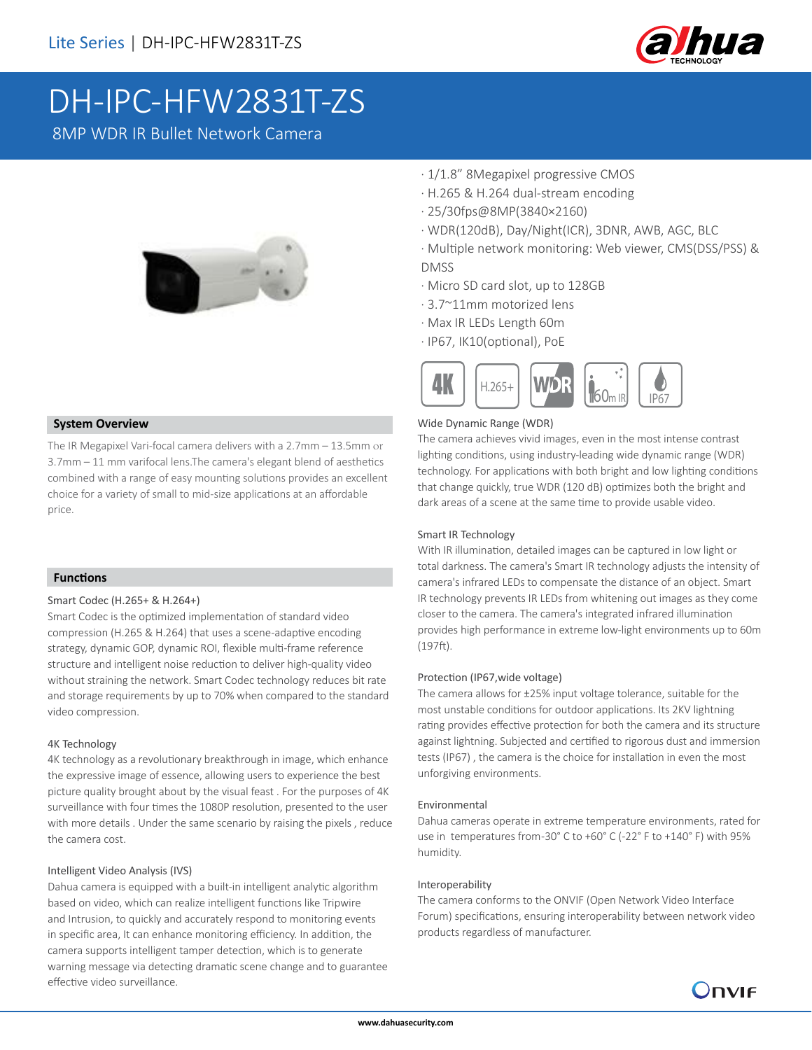

# DH-IPC-HFW2831T-ZS

8MP WDR IR Bullet Network Camera



#### **System Overview**

The IR Megapixel Vari-focal camera delivers with a 2.7mm – 13.5mm or 3.7mm – 11 mm varifocal lens.The camera's elegant blend of aesthetics combined with a range of easy mounting solutions provides an excellent choice for a variety of small to mid-size applications at an affordable price.

#### **Functions**

#### Smart Codec (H.265+ & H.264+)

Smart Codec is the optimized implementation of standard video compression (H.265 & H.264) that uses a scene-adaptive encoding strategy, dynamic GOP, dynamic ROI, flexible multi-frame reference structure and intelligent noise reduction to deliver high-quality video without straining the network. Smart Codec technology reduces bit rate and storage requirements by up to 70% when compared to the standard video compression.

#### 4K Technology

4K technology as a revolutionary breakthrough in image, which enhance the expressive image of essence, allowing users to experience the best picture quality brought about by the visual feast . For the purposes of 4K surveillance with four times the 1080P resolution, presented to the user with more details . Under the same scenario by raising the pixels , reduce the camera cost.

#### Intelligent Video Analysis (IVS)

Dahua camera is equipped with a built-in intelligent analytic algorithm based on video, which can realize intelligent functions like Tripwire and Intrusion, to quickly and accurately respond to monitoring events in specific area, It can enhance monitoring efficiency. In addition, the camera supports intelligent tamper detection, which is to generate warning message via detecting dramatic scene change and to guarantee effective video surveillance.

- · 1/1.8" 8Megapixel progressive CMOS
- · H.265 & H.264 dual-stream encoding
- · 25/30fps@8MP(3840×2160)
- · WDR(120dB), Day/Night(ICR), 3DNR, AWB, AGC, BLC
- · Multiple network monitoring: Web viewer, CMS(DSS/PSS) & DMSS
- · Micro SD card slot, up to 128GB
- · 3.7~11mm motorized lens
- · Max IR LEDs Length 60m
- · IP67, IK10(optional), PoE



#### Wide Dynamic Range (WDR)

The camera achieves vivid images, even in the most intense contrast lighting conditions, using industry-leading wide dynamic range (WDR) technology. For applications with both bright and low lighting conditions that change quickly, true WDR (120 dB) optimizes both the bright and dark areas of a scene at the same time to provide usable video.

#### Smart IR Technology

With IR illumination, detailed images can be captured in low light or total darkness. The camera's Smart IR technology adjusts the intensity of camera's infrared LEDs to compensate the distance of an object. Smart IR technology prevents IR LEDs from whitening out images as they come closer to the camera. The camera's integrated infrared illumination provides high performance in extreme low-light environments up to 60m (197ft).

#### Protection (IP67,wide voltage)

The camera allows for ±25% input voltage tolerance, suitable for the most unstable conditions for outdoor applications. Its 2KV lightning rating provides effective protection for both the camera and its structure against lightning. Subjected and certified to rigorous dust and immersion tests (IP67) , the camera is the choice for installation in even the most unforgiving environments.

#### Environmental

Dahua cameras operate in extreme temperature environments, rated for use in temperatures from-30° C to +60° C (-22° F to +140° F) with 95% humidity.

#### Interoperability

The camera conforms to the ONVIF (Open Network Video Interface Forum) specifications, ensuring interoperability between network video products regardless of manufacturer.

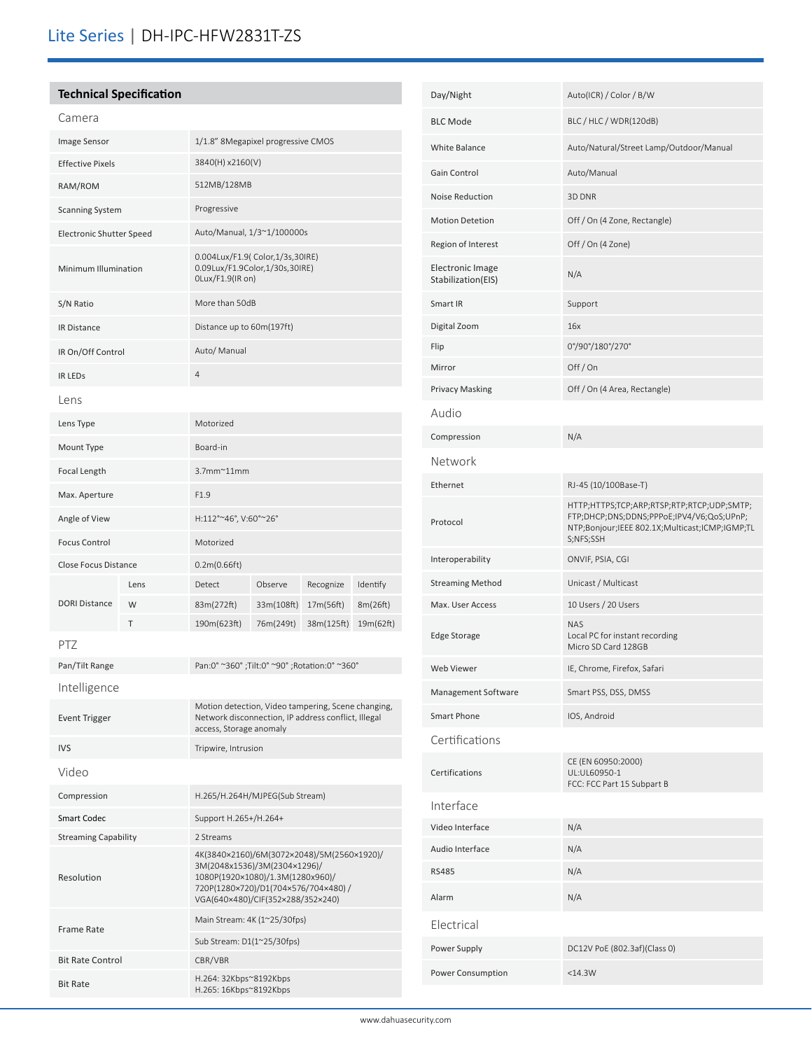# Lite Series | DH-IPC-HFW2831T-ZS

# **Technical Specification**

| Camera                          |      |                                                                                                                                                                                            |            |            |           |  |
|---------------------------------|------|--------------------------------------------------------------------------------------------------------------------------------------------------------------------------------------------|------------|------------|-----------|--|
| Image Sensor                    |      | 1/1.8" 8Megapixel progressive CMOS                                                                                                                                                         |            |            |           |  |
| <b>Effective Pixels</b>         |      | 3840(H) x2160(V)                                                                                                                                                                           |            |            |           |  |
| RAM/ROM                         |      | 512MB/128MB                                                                                                                                                                                |            |            |           |  |
| <b>Scanning System</b>          |      | Progressive                                                                                                                                                                                |            |            |           |  |
| <b>Electronic Shutter Speed</b> |      | Auto/Manual, 1/3~1/100000s                                                                                                                                                                 |            |            |           |  |
| Minimum Illumination            |      | 0.004Lux/F1.9( Color,1/3s,30IRE)<br>0.09Lux/F1.9Color,1/30s,30IRE)<br>OLux/F1.9(IR on)                                                                                                     |            |            |           |  |
| S/N Ratio                       |      | More than 50dB                                                                                                                                                                             |            |            |           |  |
| IR Distance                     |      | Distance up to 60m(197ft)                                                                                                                                                                  |            |            |           |  |
| IR On/Off Control               |      | Auto/ Manual                                                                                                                                                                               |            |            |           |  |
| <b>IR LEDS</b>                  |      | 4                                                                                                                                                                                          |            |            |           |  |
| Lens                            |      |                                                                                                                                                                                            |            |            |           |  |
| Lens Type                       |      | Motorized                                                                                                                                                                                  |            |            |           |  |
| Mount Type                      |      | Board-in                                                                                                                                                                                   |            |            |           |  |
| <b>Focal Length</b>             |      | $3.7$ mm $^{\sim}$ 11mm                                                                                                                                                                    |            |            |           |  |
| Max. Aperture                   |      | F1.9                                                                                                                                                                                       |            |            |           |  |
| Angle of View                   |      | H:112°~46°, V:60°~26°                                                                                                                                                                      |            |            |           |  |
| <b>Focus Control</b>            |      | Motorized                                                                                                                                                                                  |            |            |           |  |
| <b>Close Focus Distance</b>     |      | 0.2m(0.66ft)                                                                                                                                                                               |            |            |           |  |
|                                 | Lens | Detect                                                                                                                                                                                     | Observe    | Recognize  | Identify  |  |
| <b>DORI Distance</b>            | W    | 83m(272ft)                                                                                                                                                                                 | 33m(108ft) | 17m(56ft)  | 8m(26ft)  |  |
|                                 | T    | 190m(623ft)                                                                                                                                                                                | 76m(249t)  | 38m(125ft) | 19m(62ft) |  |
| PTZ                             |      |                                                                                                                                                                                            |            |            |           |  |
| Pan/Tilt Range                  |      | Pan:0° ~360°; Tilt:0° ~90°; Rotation:0° ~360°                                                                                                                                              |            |            |           |  |
| Intelligence                    |      |                                                                                                                                                                                            |            |            |           |  |
| <b>Event Trigger</b>            |      | Motion detection, Video tampering, Scene changing,<br>Network disconnection, IP address conflict, Illegal<br>access, Storage anomaly                                                       |            |            |           |  |
| <b>IVS</b>                      |      | Tripwire, Intrusion                                                                                                                                                                        |            |            |           |  |
| Video                           |      |                                                                                                                                                                                            |            |            |           |  |
| Compression                     |      | H.265/H.264H/MJPEG(Sub Stream)                                                                                                                                                             |            |            |           |  |
| Smart Codec                     |      | Support H.265+/H.264+                                                                                                                                                                      |            |            |           |  |
| <b>Streaming Capability</b>     |      | 2 Streams                                                                                                                                                                                  |            |            |           |  |
| Resolution                      |      | 4K(3840×2160)/6M(3072×2048)/5M(2560×1920)/<br>3M(2048x1536)/3M(2304×1296)/<br>1080P(1920×1080)/1.3M(1280x960)/<br>720P(1280×720)/D1(704×576/704×480)/<br>VGA(640×480)/CIF(352×288/352×240) |            |            |           |  |
| <b>Frame Rate</b>               |      | Main Stream: 4K (1~25/30fps)                                                                                                                                                               |            |            |           |  |
|                                 |      | Sub Stream: D1(1~25/30fps)                                                                                                                                                                 |            |            |           |  |
| <b>Bit Rate Control</b>         |      | CBR/VBR<br>H.264: 32Kbps~8192Kbps                                                                                                                                                          |            |            |           |  |
| <b>Bit Rate</b>                 |      | H.265: 16Kbps~8192Kbps                                                                                                                                                                     |            |            |           |  |

| Day/Night                                     | Auto(ICR) / Color / B/W                                                                                                                                |
|-----------------------------------------------|--------------------------------------------------------------------------------------------------------------------------------------------------------|
| <b>BLC Mode</b>                               | BLC / HLC / WDR(120dB)                                                                                                                                 |
| White Balance                                 | Auto/Natural/Street Lamp/Outdoor/Manual                                                                                                                |
| Gain Control                                  | Auto/Manual                                                                                                                                            |
| Noise Reduction                               | 3D DNR                                                                                                                                                 |
| <b>Motion Detetion</b>                        | Off / On (4 Zone, Rectangle)                                                                                                                           |
| Region of Interest                            | Off / On (4 Zone)                                                                                                                                      |
| <b>Electronic Image</b><br>Stabilization(EIS) | N/A                                                                                                                                                    |
| Smart IR                                      | Support                                                                                                                                                |
| Digital Zoom                                  | 16x                                                                                                                                                    |
| Flip                                          | 0°/90°/180°/270°                                                                                                                                       |
| Mirror                                        | Off/On                                                                                                                                                 |
| <b>Privacy Masking</b>                        | Off / On (4 Area, Rectangle)                                                                                                                           |
| Audio                                         |                                                                                                                                                        |
| Compression                                   | N/A                                                                                                                                                    |
| Network                                       |                                                                                                                                                        |
| Ethernet                                      | RJ-45 (10/100Base-T)                                                                                                                                   |
| Protocol                                      | HTTP;HTTPS;TCP;ARP;RTSP;RTP;RTCP;UDP;SMTP;<br>FTP;DHCP;DNS;DDNS;PPPoE;IPV4/V6;QoS;UPnP;<br>NTP;Bonjour;IEEE 802.1X;Multicast;ICMP;IGMP;TL<br>S;NFS;SSH |
| Interoperability                              | ONVIF, PSIA, CGI                                                                                                                                       |
| <b>Streaming Method</b>                       | Unicast / Multicast                                                                                                                                    |
| Max. User Access                              | 10 Users / 20 Users                                                                                                                                    |
| Edge Storage                                  | NAS<br>Local PC for instant recording<br>Micro SD Card 128GB                                                                                           |
| Web Viewer                                    | IE, Chrome, Firefox, Safari                                                                                                                            |
| Management Software                           | Smart PSS, DSS, DMSS                                                                                                                                   |
| Smart Phone                                   | IOS, Android                                                                                                                                           |
| Certifications                                |                                                                                                                                                        |
| Certifications                                | CE (EN 60950:2000)<br>UL:UL60950-1<br>FCC: FCC Part 15 Subpart B                                                                                       |
| Interface                                     |                                                                                                                                                        |
| Video Interface                               | N/A                                                                                                                                                    |
| Audio Interface                               | N/A                                                                                                                                                    |
| <b>RS485</b>                                  | N/A                                                                                                                                                    |
| Alarm                                         | N/A                                                                                                                                                    |
| Electrical                                    |                                                                                                                                                        |
| Power Supply                                  | DC12V PoE (802.3af)(Class 0)                                                                                                                           |
| Power Consumption                             | $<$ 14.3W                                                                                                                                              |
|                                               |                                                                                                                                                        |